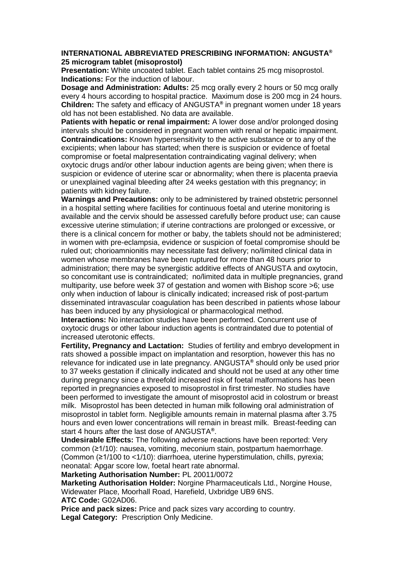## **INTERNATIONAL ABBREVIATED PRESCRIBING INFORMATION: ANGUSTA® 25 microgram tablet (misoprostol)**

**Presentation:** White uncoated tablet. Each tablet contains 25 mcg misoprostol. **Indications:** For the induction of labour.

**Dosage and Administration: Adults:** 25 mcg orally every 2 hours or 50 mcg orally every 4 hours according to hospital practice. Maximum dose is 200 mcg in 24 hours. **Children:** The safety and efficacy of ANGUSTA**®** in pregnant women under 18 years old has not been established. No data are available.

**Patients with hepatic or renal impairment:** A lower dose and/or prolonged dosing intervals should be considered in pregnant women with renal or hepatic impairment. **Contraindications:** Known hypersensitivity to the active substance or to any of the excipients; when labour has started; when there is suspicion or evidence of foetal compromise or foetal malpresentation contraindicating vaginal delivery; when oxytocic drugs and/or other labour induction agents are being given; when there is suspicion or evidence of uterine scar or abnormality; when there is placenta praevia or unexplained vaginal bleeding after 24 weeks gestation with this pregnancy; in patients with kidney failure.

**Warnings and Precautions:** only to be administered by trained obstetric personnel in a hospital setting where facilities for continuous foetal and uterine monitoring is available and the cervix should be assessed carefully before product use; can cause excessive uterine stimulation; if uterine contractions are prolonged or excessive, or there is a clinical concern for mother or baby, the tablets should not be administered; in women with pre-eclampsia, evidence or suspicion of foetal compromise should be ruled out; chorioamnionitis may necessitate fast delivery; no/limited clinical data in women whose membranes have been ruptured for more than 48 hours prior to administration; there may be synergistic additive effects of ANGUSTA and oxytocin, so concomitant use is contraindicated; no/limited data in multiple pregnancies, grand multiparity, use before week 37 of gestation and women with Bishop score >6; use only when induction of labour is clinically indicated; increased risk of post-partum disseminated intravascular coagulation has been described in patients whose labour has been induced by any physiological or pharmacological method.

**Interactions:** No interaction studies have been performed. Concurrent use of oxytocic drugs or other labour induction agents is contraindated due to potential of increased uterotonic effects.

**Fertility, Pregnancy and Lactation:** Studies of fertility and embryo development in rats showed a possible impact on implantation and resorption, however this has no relevance for indicated use in late pregnancy. ANGUSTA**®** should only be used prior to 37 weeks gestation if clinically indicated and should not be used at any other time during pregnancy since a threefold increased risk of foetal malformations has been reported in pregnancies exposed to misoprostol in first trimester. No studies have been performed to investigate the amount of misoprostol acid in colostrum or breast milk. Misoprostol has been detected in human milk following oral administration of misoprostol in tablet form. Negligible amounts remain in maternal plasma after 3.75 hours and even lower concentrations will remain in breast milk. Breast-feeding can start 4 hours after the last dose of ANGUSTA**®** .

**Undesirable Effects:** The following adverse reactions have been reported: Very common (≥1/10): nausea, vomiting, meconium stain, postpartum haemorrhage. (Common (≥1/100 to <1/10): diarrhoea, uterine hyperstimulation, chills, pyrexia; neonatal: Apgar score low, foetal heart rate abnormal.

**Marketing Authorisation Number:** PL 20011/0072

**Marketing Authorisation Holder:** Norgine Pharmaceuticals Ltd., Norgine House, Widewater Place, Moorhall Road, Harefield, Uxbridge UB9 6NS. **ATC Code:** G02AD06.

**Price and pack sizes:** Price and pack sizes vary according to country. **Legal Category:** Prescription Only Medicine.